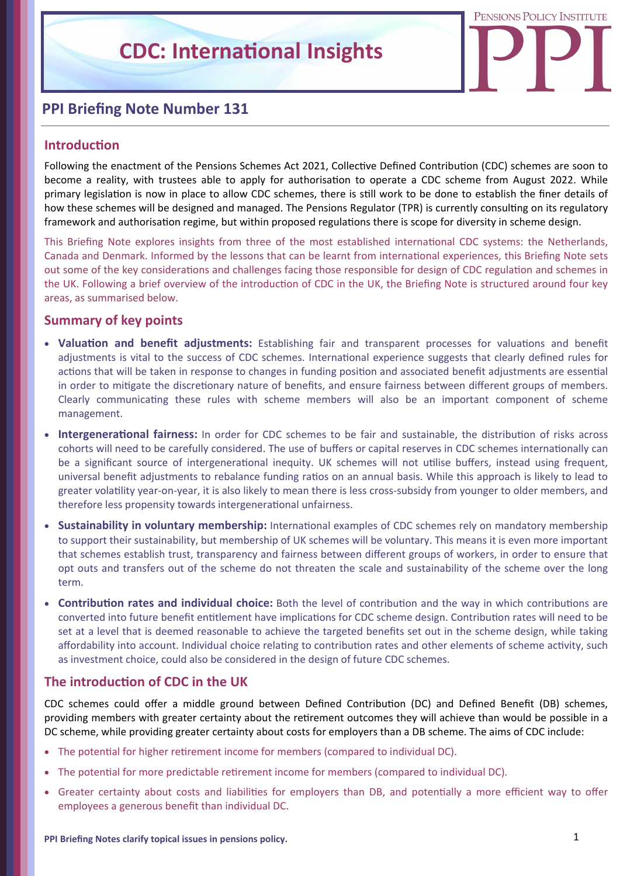# PENSIONS POLICY INSTITUTE

## **PPI Briefing Note Number 131**

## **IntroducƟon**

Following the enactment of the Pensions Schemes Act 2021, Collective Defined Contribution (CDC) schemes are soon to become a reality, with trustees able to apply for authorisation to operate a CDC scheme from August 2022. While primary legislation is now in place to allow CDC schemes, there is still work to be done to establish the finer details of how these schemes will be designed and managed. The Pensions Regulator (TPR) is currently consulting on its regulatory framework and authorisation regime, but within proposed regulations there is scope for diversity in scheme design.

This Briefing Note explores insights from three of the most established international CDC systems: the Netherlands, Canada and Denmark. Informed by the lessons that can be learnt from international experiences, this Briefing Note sets out some of the key considerations and challenges facing those responsible for design of CDC regulation and schemes in the UK. Following a brief overview of the introduction of CDC in the UK, the Briefing Note is structured around four key areas, as summarised below.

## **Summary of key points**

- Valuation and benefit adjustments: Establishing fair and transparent processes for valuations and benefit adjustments is vital to the success of CDC schemes. International experience suggests that clearly defined rules for actions that will be taken in response to changes in funding position and associated benefit adjustments are essential in order to mitigate the discretionary nature of benefits, and ensure fairness between different groups of members. Clearly communicating these rules with scheme members will also be an important component of scheme management.
- **Intergenerational fairness:** In order for CDC schemes to be fair and sustainable, the distribution of risks across cohorts will need to be carefully considered. The use of buffers or capital reserves in CDC schemes internationally can be a significant source of intergenerational inequity. UK schemes will not utilise buffers, instead using frequent, universal benefit adjustments to rebalance funding ratios on an annual basis. While this approach is likely to lead to greater volatility year-on-year, it is also likely to mean there is less cross-subsidy from younger to older members, and therefore less propensity towards intergenerational unfairness.
- **Sustainability in voluntary membership:** International examples of CDC schemes rely on mandatory membership to support their sustainability, but membership of UK schemes will be voluntary. This means it is even more important that schemes establish trust, transparency and fairness between different groups of workers, in order to ensure that opt outs and transfers out of the scheme do not threaten the scale and sustainability of the scheme over the long term.
- **Contribution rates and individual choice:** Both the level of contribution and the way in which contributions are converted into future benefit entitlement have implications for CDC scheme design. Contribution rates will need to be set at a level that is deemed reasonable to achieve the targeted benefits set out in the scheme design, while taking affordability into account. Individual choice relating to contribution rates and other elements of scheme activity, such as investment choice, could also be considered in the design of future CDC schemes.

## **The introduction of CDC in the UK**

CDC schemes could offer a middle ground between Defined Contribution (DC) and Defined Benefit (DB) schemes, providing members with greater certainty about the retirement outcomes they will achieve than would be possible in a DC scheme, while providing greater certainty about costs for employers than a DB scheme. The aims of CDC include:

- The potential for higher retirement income for members (compared to individual DC).
- The potential for more predictable retirement income for members (compared to individual DC).
- Greater certainty about costs and liabilities for employers than DB, and potentially a more efficient way to offer employees a generous benefit than individual DC.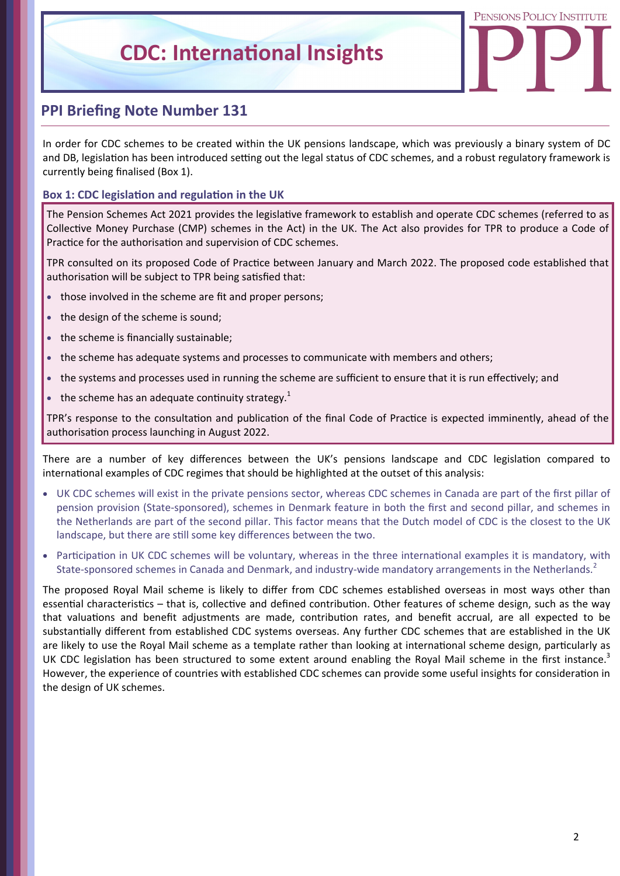

## **PPI Briefing Note Number 131**

In order for CDC schemes to be created within the UK pensions landscape, which was previously a binary system of DC and DB, legislation has been introduced setting out the legal status of CDC schemes, and a robust regulatory framework is currently being finalised (Box 1).

## **Box 1: CDC legislation and regulation in the UK**

The Pension Schemes Act 2021 provides the legislative framework to establish and operate CDC schemes (referred to as Collective Money Purchase (CMP) schemes in the Act) in the UK. The Act also provides for TPR to produce a Code of Practice for the authorisation and supervision of CDC schemes.

TPR consulted on its proposed Code of Practice between January and March 2022. The proposed code established that authorisation will be subject to TPR being satisfied that:

- those involved in the scheme are fit and proper persons;
- the design of the scheme is sound;
- the scheme is financially sustainable;
- the scheme has adequate systems and processes to communicate with members and others;
- the systems and processes used in running the scheme are sufficient to ensure that it is run effectively; and
- the scheme has an adequate continuity strategy.<sup>1</sup>

TPR's response to the consultation and publication of the final Code of Practice is expected imminently, ahead of the authorisation process launching in August 2022.

There are a number of key differences between the UK's pensions landscape and CDC legislation compared to international examples of CDC regimes that should be highlighted at the outset of this analysis:

- UK CDC schemes will exist in the private pensions sector, whereas CDC schemes in Canada are part of the first pillar of pension provision (State‐sponsored), schemes in Denmark feature in both the first and second pillar, and schemes in the Netherlands are part of the second pillar. This factor means that the Dutch model of CDC is the closest to the UK landscape, but there are still some key differences between the two.
- Participation in UK CDC schemes will be voluntary, whereas in the three international examples it is mandatory, with State-sponsored schemes in Canada and Denmark, and industry-wide mandatory arrangements in the Netherlands.<sup>2</sup>

The proposed Royal Mail scheme is likely to differ from CDC schemes established overseas in most ways other than essential characteristics – that is, collective and defined contribution. Other features of scheme design, such as the way that valuations and benefit adjustments are made, contribution rates, and benefit accrual, are all expected to be substantially different from established CDC systems overseas. Any further CDC schemes that are established in the UK are likely to use the Royal Mail scheme as a template rather than looking at international scheme design, particularly as UK CDC legislation has been structured to some extent around enabling the Royal Mail scheme in the first instance.<sup>3</sup> However, the experience of countries with established CDC schemes can provide some useful insights for consideration in the design of UK schemes.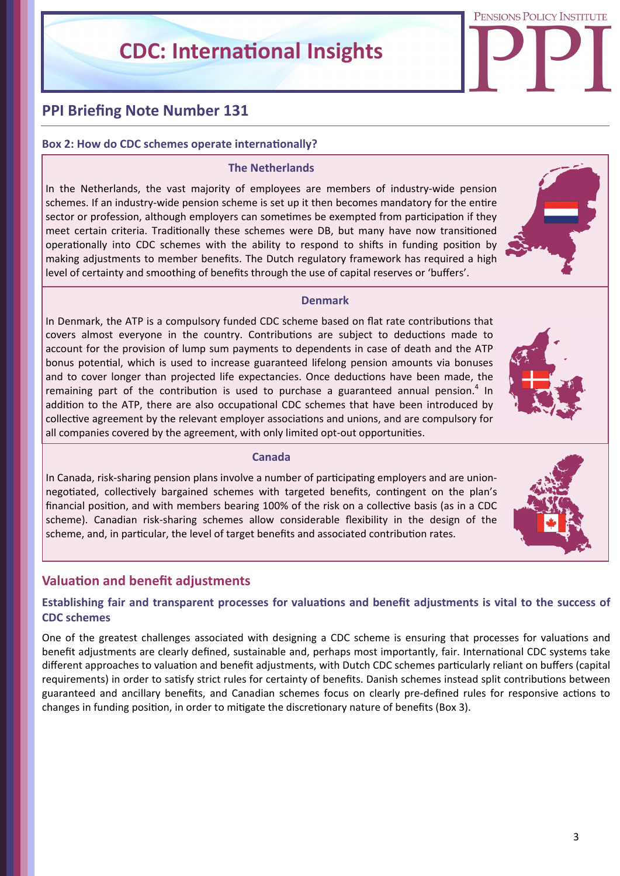PENSIONS POLICY INSTITUTE

## **PPI Briefing Note Number 131**

## **Box 2: How do CDC schemes operate internationally?**

#### **The Netherlands**

In the Netherlands, the vast majority of employees are members of industry‐wide pension schemes. If an industry-wide pension scheme is set up it then becomes mandatory for the entire sector or profession, although employers can sometimes be exempted from participation if they meet certain criteria. Traditionally these schemes were DB, but many have now transitioned operationally into CDC schemes with the ability to respond to shifts in funding position by making adjustments to member benefits. The Dutch regulatory framework has required a high level of certainty and smoothing of benefits through the use of capital reserves or 'buffers'.



#### **Denmark**

In Denmark, the ATP is a compulsory funded CDC scheme based on flat rate contributions that covers almost everyone in the country. Contributions are subject to deductions made to account for the provision of lump sum payments to dependents in case of death and the ATP bonus potential, which is used to increase guaranteed lifelong pension amounts via bonuses and to cover longer than projected life expectancies. Once deductions have been made, the remaining part of the contribution is used to purchase a guaranteed annual pension.<sup>4</sup> In addition to the ATP, there are also occupational CDC schemes that have been introduced by collective agreement by the relevant employer associations and unions, and are compulsory for all companies covered by the agreement, with only limited opt-out opportunities.



#### **Canada**

In Canada, risk-sharing pension plans involve a number of participating employers and are unionnegotiated, collectively bargained schemes with targeted benefits, contingent on the plan's financial position, and with members bearing 100% of the risk on a collective basis (as in a CDC scheme). Canadian risk‐sharing schemes allow considerable flexibility in the design of the scheme, and, in particular, the level of target benefits and associated contribution rates.

## **ValuaƟon and benefit adjustments**

## Establishing fair and transparent processes for valuations and benefit adjustments is vital to the success of **CDC schemes**

One of the greatest challenges associated with designing a CDC scheme is ensuring that processes for valuations and benefit adjustments are clearly defined, sustainable and, perhaps most importantly, fair. International CDC systems take different approaches to valuation and benefit adjustments, with Dutch CDC schemes particularly reliant on buffers (capital requirements) in order to satisfy strict rules for certainty of benefits. Danish schemes instead split contributions between guaranteed and ancillary benefits, and Canadian schemes focus on clearly pre-defined rules for responsive actions to changes in funding position, in order to mitigate the discretionary nature of benefits (Box 3).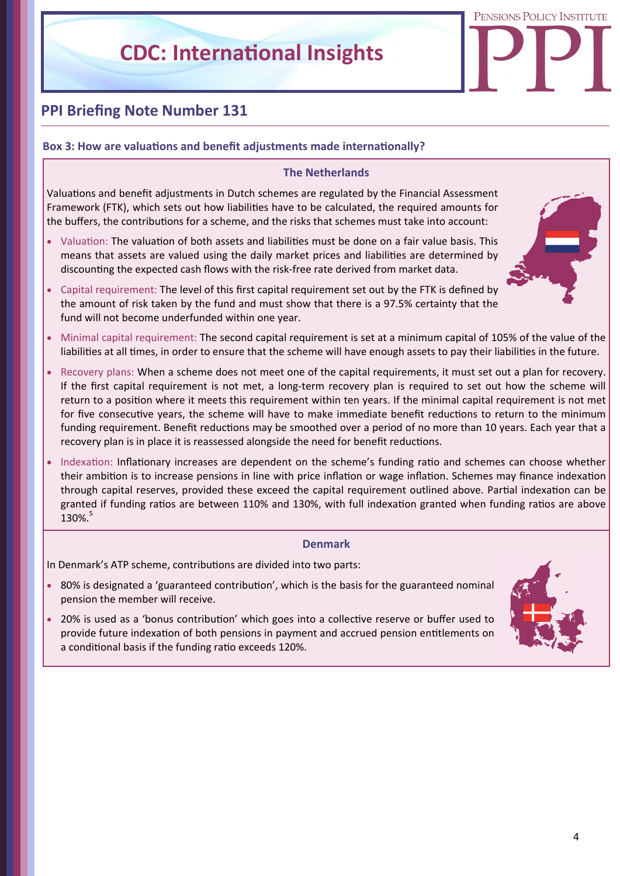PENSIONS POLICY INSTITUTE

## **PPI Briefing Note Number 131**

## **Box 3: How are valuations and benefit adjustments made internationally?**

## **The Netherlands**

Valuations and benefit adjustments in Dutch schemes are regulated by the Financial Assessment Framework (FTK), which sets out how liabilities have to be calculated, the required amounts for the buffers, the contributions for a scheme, and the risks that schemes must take into account:

Valuation: The valuation of both assets and liabilities must be done on a fair value basis. This means that assets are valued using the daily market prices and liabilities are determined by discounting the expected cash flows with the risk-free rate derived from market data.



- Capital requirement: The level of this first capital requirement set out by the FTK is defined by the amount of risk taken by the fund and must show that there is a 97.5% certainty that the fund will not become underfunded within one year.
- Minimal capital requirement: The second capital requirement is set at a minimum capital of 105% of the value of the liabilities at all times, in order to ensure that the scheme will have enough assets to pay their liabilities in the future.
- Recovery plans: When a scheme does not meet one of the capital requirements, it must set out a plan for recovery. If the first capital requirement is not met, a long-term recovery plan is required to set out how the scheme will return to a position where it meets this requirement within ten years. If the minimal capital requirement is not met for five consecutive years, the scheme will have to make immediate benefit reductions to return to the minimum funding requirement. Benefit reductions may be smoothed over a period of no more than 10 years. Each year that a recovery plan is in place it is reassessed alongside the need for benefit reductions.
- Indexation: Inflationary increases are dependent on the scheme's funding ratio and schemes can choose whether their ambition is to increase pensions in line with price inflation or wage inflation. Schemes may finance indexation through capital reserves, provided these exceed the capital requirement outlined above. Partial indexation can be granted if funding ratios are between 110% and 130%, with full indexation granted when funding ratios are above 130%.

#### **Denmark**

In Denmark's ATP scheme, contributions are divided into two parts:

- 80% is designated a 'guaranteed contribution', which is the basis for the guaranteed nominal pension the member will receive.
- 20% is used as a 'bonus contribution' which goes into a collective reserve or buffer used to provide future indexation of both pensions in payment and accrued pension entitlements on a conditional basis if the funding ratio exceeds 120%.

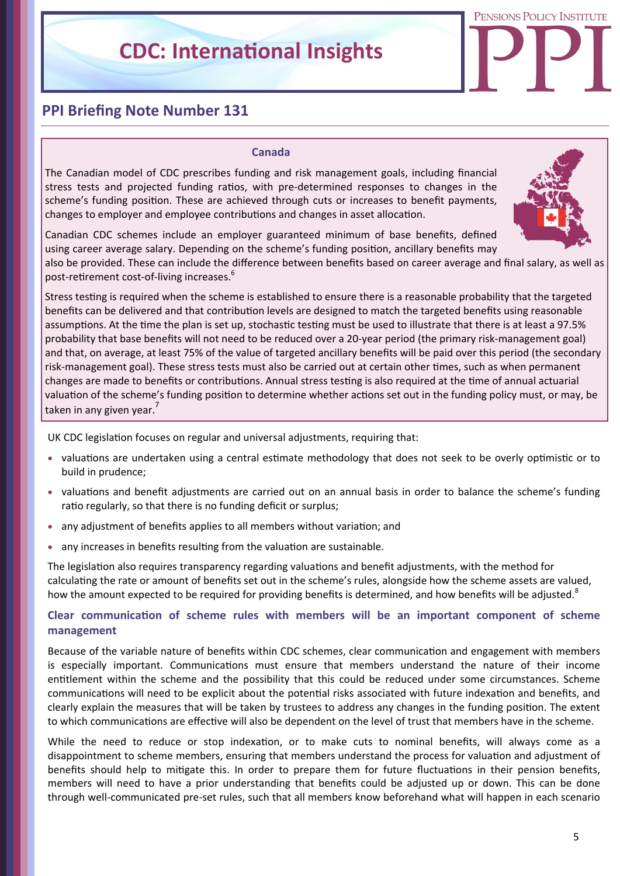PENSIONS POLICY INSTITUTE

## **PPI Briefing Note Number 131**

#### **Canada**

The Canadian model of CDC prescribes funding and risk management goals, including financial stress tests and projected funding ratios, with pre-determined responses to changes in the scheme's funding position. These are achieved through cuts or increases to benefit payments, changes to employer and employee contributions and changes in asset allocation.



Canadian CDC schemes include an employer guaranteed minimum of base benefits, defined using career average salary. Depending on the scheme's funding position, ancillary benefits may

also be provided. These can include the difference between benefits based on career average and final salary, as well as post-retirement cost-of-living increases.<sup>6</sup>

Stress testing is required when the scheme is established to ensure there is a reasonable probability that the targeted benefits can be delivered and that contribution levels are designed to match the targeted benefits using reasonable assumptions. At the time the plan is set up, stochastic testing must be used to illustrate that there is at least a 97.5% probability that base benefits will not need to be reduced over a 20‐year period (the primary risk‐management goal) and that, on average, at least 75% of the value of targeted ancillary benefits will be paid over this period (the secondary risk-management goal). These stress tests must also be carried out at certain other times, such as when permanent changes are made to benefits or contributions. Annual stress testing is also required at the time of annual actuarial valuation of the scheme's funding position to determine whether actions set out in the funding policy must, or may, be taken in any given year.'

UK CDC legislation focuses on regular and universal adjustments, requiring that:

- valuations are undertaken using a central estimate methodology that does not seek to be overly optimistic or to build in prudence;
- valuations and benefit adjustments are carried out on an annual basis in order to balance the scheme's funding ratio regularly, so that there is no funding deficit or surplus;
- any adjustment of benefits applies to all members without variation; and
- any increases in benefits resulting from the valuation are sustainable.

The legislation also requires transparency regarding valuations and benefit adjustments, with the method for calculaƟng the rate or amount of benefits set out in the scheme's rules, alongside how the scheme assets are valued, how the amount expected to be required for providing benefits is determined, and how benefits will be adjusted.<sup>8</sup>

## **Clear communicaƟon of scheme rules with members will be an important component of scheme management**

Because of the variable nature of benefits within CDC schemes, clear communication and engagement with members is especially important. Communications must ensure that members understand the nature of their income entitlement within the scheme and the possibility that this could be reduced under some circumstances. Scheme communications will need to be explicit about the potential risks associated with future indexation and benefits, and clearly explain the measures that will be taken by trustees to address any changes in the funding position. The extent to which communications are effective will also be dependent on the level of trust that members have in the scheme.

While the need to reduce or stop indexation, or to make cuts to nominal benefits, will always come as a disappointment to scheme members, ensuring that members understand the process for valuation and adjustment of benefits should help to mitigate this. In order to prepare them for future fluctuations in their pension benefits, members will need to have a prior understanding that benefits could be adjusted up or down. This can be done through well‐communicated pre‐set rules, such that all members know beforehand what will happen in each scenario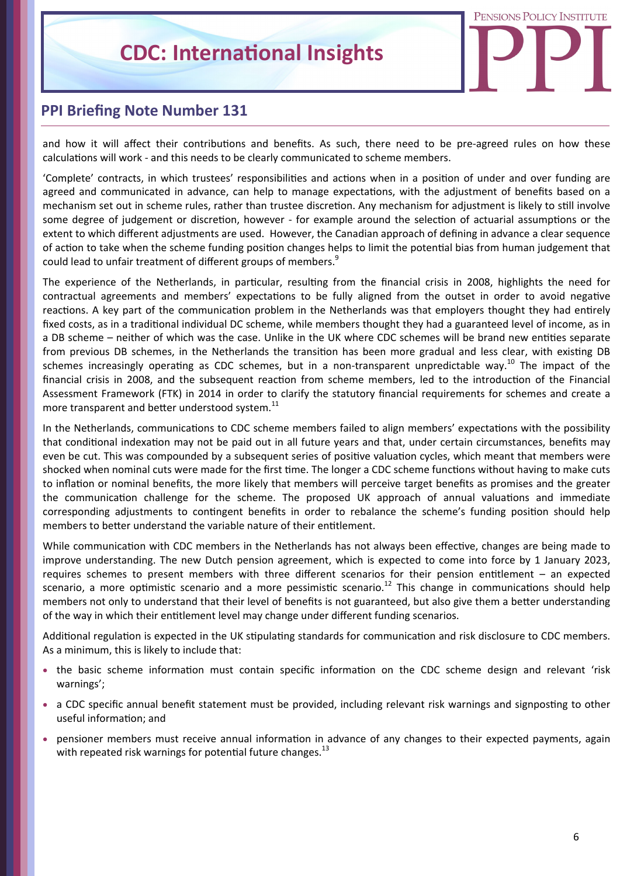

## **PPI Briefing Note Number 131**

and how it will affect their contributions and benefits. As such, there need to be pre-agreed rules on how these calculations will work - and this needs to be clearly communicated to scheme members.

'Complete' contracts, in which trustees' responsibilities and actions when in a position of under and over funding are agreed and communicated in advance, can help to manage expectations, with the adjustment of benefits based on a mechanism set out in scheme rules, rather than trustee discretion. Any mechanism for adjustment is likely to still involve some degree of judgement or discretion, however - for example around the selection of actuarial assumptions or the extent to which different adjustments are used. However, the Canadian approach of defining in advance a clear sequence of action to take when the scheme funding position changes helps to limit the potential bias from human judgement that could lead to unfair treatment of different groups of members.<sup>9</sup>

The experience of the Netherlands, in particular, resulting from the financial crisis in 2008, highlights the need for contractual agreements and members' expectations to be fully aligned from the outset in order to avoid negative reactions. A key part of the communication problem in the Netherlands was that employers thought they had entirely fixed costs, as in a traditional individual DC scheme, while members thought they had a guaranteed level of income, as in a DB scheme – neither of which was the case. Unlike in the UK where CDC schemes will be brand new entities separate from previous DB schemes, in the Netherlands the transition has been more gradual and less clear, with existing DB schemes increasingly operating as CDC schemes, but in a non-transparent unpredictable way.<sup>10</sup> The impact of the financial crisis in 2008, and the subsequent reaction from scheme members, led to the introduction of the Financial Assessment Framework (FTK) in 2014 in order to clarify the statutory financial requirements for schemes and create a more transparent and better understood system.<sup>11</sup>

In the Netherlands, communications to CDC scheme members failed to align members' expectations with the possibility that conditional indexation may not be paid out in all future years and that, under certain circumstances, benefits may even be cut. This was compounded by a subsequent series of positive valuation cycles, which meant that members were shocked when nominal cuts were made for the first time. The longer a CDC scheme functions without having to make cuts to inflation or nominal benefits, the more likely that members will perceive target benefits as promises and the greater the communication challenge for the scheme. The proposed UK approach of annual valuations and immediate corresponding adjustments to contingent benefits in order to rebalance the scheme's funding position should help members to better understand the variable nature of their entitlement.

While communication with CDC members in the Netherlands has not always been effective, changes are being made to improve understanding. The new Dutch pension agreement, which is expected to come into force by 1 January 2023, requires schemes to present members with three different scenarios for their pension entitlement – an expected scenario, a more optimistic scenario and a more pessimistic scenario.<sup>12</sup> This change in communications should help members not only to understand that their level of benefits is not guaranteed, but also give them a better understanding of the way in which their entitlement level may change under different funding scenarios.

Additional regulation is expected in the UK stipulating standards for communication and risk disclosure to CDC members. As a minimum, this is likely to include that:

- the basic scheme information must contain specific information on the CDC scheme design and relevant 'risk warnings';
- a CDC specific annual benefit statement must be provided, including relevant risk warnings and signposting to other useful information; and
- pensioner members must receive annual information in advance of any changes to their expected payments, again with repeated risk warnings for potential future changes.<sup>13</sup>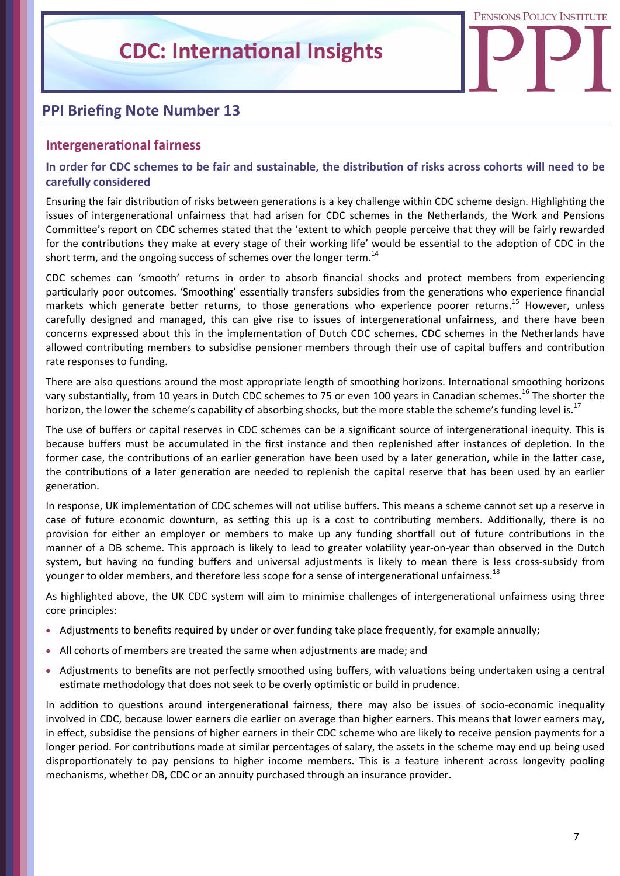PENSIONS POLICY INSTITUTE

## **PPI Briefing Note Number 13**

## **IntergeneraƟonal fairness**

## In order for CDC schemes to be fair and sustainable, the distribution of risks across cohorts will need to be **carefully considered**

Ensuring the fair distribution of risks between generations is a key challenge within CDC scheme design. Highlighting the issues of intergeneraƟonal unfairness that had arisen for CDC schemes in the Netherlands, the Work and Pensions Committee's report on CDC schemes stated that the 'extent to which people perceive that they will be fairly rewarded for the contributions they make at every stage of their working life' would be essential to the adoption of CDC in the short term, and the ongoing success of schemes over the longer term.<sup>14</sup>

CDC schemes can 'smooth' returns in order to absorb financial shocks and protect members from experiencing particularly poor outcomes. 'Smoothing' essentially transfers subsidies from the generations who experience financial markets which generate better returns, to those generations who experience poorer returns.<sup>15</sup> However, unless carefully designed and managed, this can give rise to issues of intergenerational unfairness, and there have been concerns expressed about this in the implementation of Dutch CDC schemes. CDC schemes in the Netherlands have allowed contributing members to subsidise pensioner members through their use of capital buffers and contribution rate responses to funding.

There are also questions around the most appropriate length of smoothing horizons. International smoothing horizons vary substantially, from 10 years in Dutch CDC schemes to 75 or even 100 years in Canadian schemes.<sup>16</sup> The shorter the horizon, the lower the scheme's capability of absorbing shocks, but the more stable the scheme's funding level is.<sup>17</sup>

The use of buffers or capital reserves in CDC schemes can be a significant source of intergenerational inequity. This is because buffers must be accumulated in the first instance and then replenished after instances of depletion. In the former case, the contributions of an earlier generation have been used by a later generation, while in the latter case, the contributions of a later generation are needed to replenish the capital reserve that has been used by an earlier generaƟon.

In response, UK implementation of CDC schemes will not utilise buffers. This means a scheme cannot set up a reserve in case of future economic downturn, as setting this up is a cost to contributing members. Additionally, there is no provision for either an employer or members to make up any funding shortfall out of future contributions in the manner of a DB scheme. This approach is likely to lead to greater volatility year-on-year than observed in the Dutch system, but having no funding buffers and universal adjustments is likely to mean there is less cross-subsidy from younger to older members, and therefore less scope for a sense of intergenerational unfairness.<sup>18</sup>

As highlighted above, the UK CDC system will aim to minimise challenges of intergenerational unfairness using three core principles:

- Adjustments to benefits required by under or over funding take place frequently, for example annually;
- All cohorts of members are treated the same when adjustments are made; and
- Adjustments to benefits are not perfectly smoothed using buffers, with valuations being undertaken using a central estimate methodology that does not seek to be overly optimistic or build in prudence.

In addition to questions around intergenerational fairness, there may also be issues of socio-economic inequality involved in CDC, because lower earners die earlier on average than higher earners. This means that lower earners may, in effect, subsidise the pensions of higher earners in their CDC scheme who are likely to receive pension payments for a longer period. For contributions made at similar percentages of salary, the assets in the scheme may end up being used disproportionately to pay pensions to higher income members. This is a feature inherent across longevity pooling mechanisms, whether DB, CDC or an annuity purchased through an insurance provider.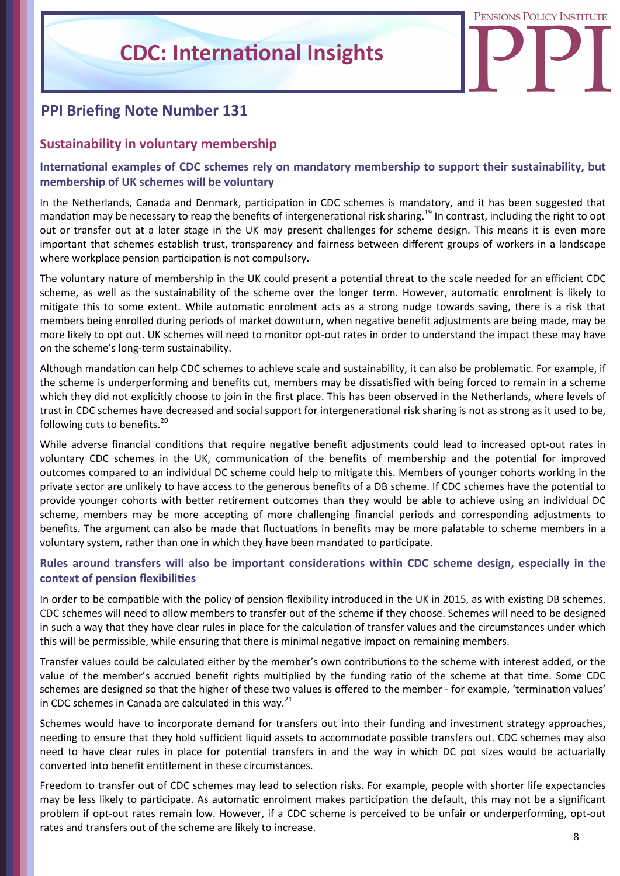PENSIONS POLICY INSTITUTE

## **PPI Briefing Note Number 131**

## **Sustainability in voluntary membership**

## International examples of CDC schemes rely on mandatory membership to support their sustainability, but **membership of UK schemes will be voluntary**

In the Netherlands, Canada and Denmark, participation in CDC schemes is mandatory, and it has been suggested that mandation may be necessary to reap the benefits of intergenerational risk sharing.<sup>19</sup> In contrast, including the right to opt out or transfer out at a later stage in the UK may present challenges for scheme design. This means it is even more important that schemes establish trust, transparency and fairness between different groups of workers in a landscape where workplace pension participation is not compulsory.

The voluntary nature of membership in the UK could present a potential threat to the scale needed for an efficient CDC scheme, as well as the sustainability of the scheme over the longer term. However, automatic enrolment is likely to mitigate this to some extent. While automatic enrolment acts as a strong nudge towards saving, there is a risk that members being enrolled during periods of market downturn, when negative benefit adjustments are being made, may be more likely to opt out. UK schemes will need to monitor opt-out rates in order to understand the impact these may have on the scheme's long‐term sustainability.

Although mandation can help CDC schemes to achieve scale and sustainability, it can also be problematic. For example, if the scheme is underperforming and benefits cut, members may be dissatisfied with being forced to remain in a scheme which they did not explicitly choose to join in the first place. This has been observed in the Netherlands, where levels of trust in CDC schemes have decreased and social support for intergenerational risk sharing is not as strong as it used to be, following cuts to benefits.<sup>20</sup>

While adverse financial conditions that require negative benefit adjustments could lead to increased opt-out rates in voluntary CDC schemes in the UK, communication of the benefits of membership and the potential for improved outcomes compared to an individual DC scheme could help to mitigate this. Members of younger cohorts working in the private sector are unlikely to have access to the generous benefits of a DB scheme. If CDC schemes have the potential to provide younger cohorts with better retirement outcomes than they would be able to achieve using an individual DC scheme, members may be more accepting of more challenging financial periods and corresponding adjustments to benefits. The argument can also be made that fluctuations in benefits may be more palatable to scheme members in a voluntary system, rather than one in which they have been mandated to participate.

## **Rules around transfers will also be important consideraƟons within CDC scheme design, especially in the context of pension flexibiliƟes**

In order to be compatible with the policy of pension flexibility introduced in the UK in 2015, as with existing DB schemes, CDC schemes will need to allow members to transfer out of the scheme if they choose. Schemes will need to be designed in such a way that they have clear rules in place for the calculation of transfer values and the circumstances under which this will be permissible, while ensuring that there is minimal negative impact on remaining members.

Transfer values could be calculated either by the member's own contributions to the scheme with interest added, or the value of the member's accrued benefit rights multiplied by the funding ratio of the scheme at that time. Some CDC schemes are designed so that the higher of these two values is offered to the member - for example, 'termination values' in CDC schemes in Canada are calculated in this way. $^{21}$ 

Schemes would have to incorporate demand for transfers out into their funding and investment strategy approaches, needing to ensure that they hold sufficient liquid assets to accommodate possible transfers out. CDC schemes may also need to have clear rules in place for potential transfers in and the way in which DC pot sizes would be actuarially converted into benefit entitlement in these circumstances.

Freedom to transfer out of CDC schemes may lead to selection risks. For example, people with shorter life expectancies may be less likely to participate. As automatic enrolment makes participation the default, this may not be a significant problem if opt-out rates remain low. However, if a CDC scheme is perceived to be unfair or underperforming, opt-out rates and transfers out of the scheme are likely to increase.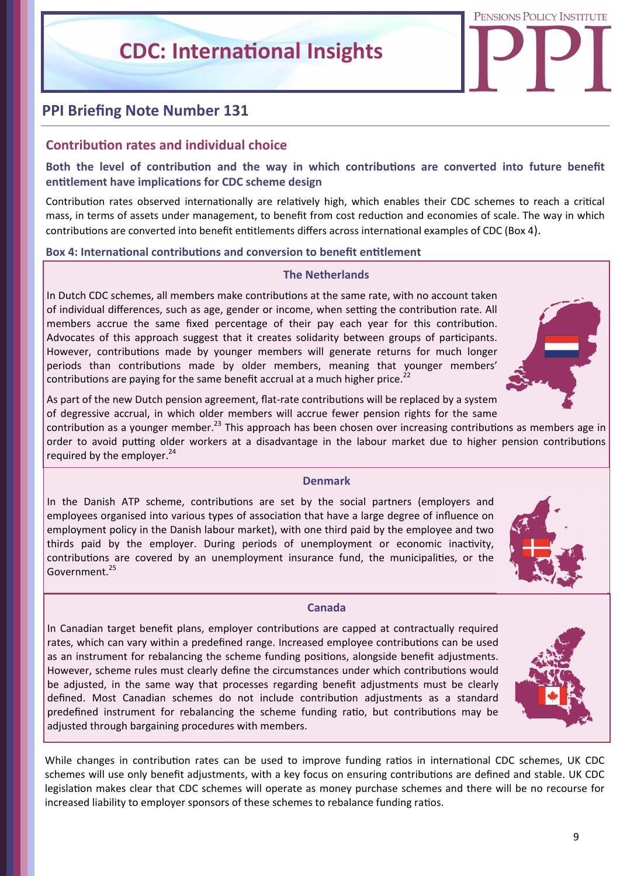PENSIONS POLICY INSTITUTE

## **PPI Briefing Note Number 131**

## **ContribuƟon rates and individual choice**

## Both the level of contribution and the way in which contributions are converted into future benefit **entitlement have implications for CDC scheme design**

Contribution rates observed internationally are relatively high, which enables their CDC schemes to reach a critical mass, in terms of assets under management, to benefit from cost reduction and economies of scale. The way in which contributions are converted into benefit entitlements differs across international examples of CDC (Box 4).

#### **Box 4: International contributions and conversion to benefit entitlement**

## **The Netherlands**

In Dutch CDC schemes, all members make contributions at the same rate, with no account taken of individual differences, such as age, gender or income, when setting the contribution rate. All members accrue the same fixed percentage of their pay each year for this contribution. Advocates of this approach suggest that it creates solidarity between groups of participants. However, contributions made by younger members will generate returns for much longer periods than contributions made by older members, meaning that younger members' contributions are paying for the same benefit accrual at a much higher price.<sup>22</sup>



As part of the new Dutch pension agreement, flat-rate contributions will be replaced by a system of degressive accrual, in which older members will accrue fewer pension rights for the same

contribution as a younger member.<sup>23</sup> This approach has been chosen over increasing contributions as members age in order to avoid putting older workers at a disadvantage in the labour market due to higher pension contributions required by the employer. $^{24}$ 

#### **Denmark**

In the Danish ATP scheme, contributions are set by the social partners (employers and employees organised into various types of association that have a large degree of influence on employment policy in the Danish labour market), with one third paid by the employee and two thirds paid by the employer. During periods of unemployment or economic inactivity, contributions are covered by an unemployment insurance fund, the municipalities, or the Government.<sup>25</sup>



In Canadian target benefit plans, employer contributions are capped at contractually required rates, which can vary within a predefined range. Increased employee contributions can be used as an instrument for rebalancing the scheme funding positions, alongside benefit adjustments. However, scheme rules must clearly define the circumstances under which contributions would be adjusted, in the same way that processes regarding benefit adjustments must be clearly defined. Most Canadian schemes do not include contribution adjustments as a standard predefined instrument for rebalancing the scheme funding ratio, but contributions may be adjusted through bargaining procedures with members.



While changes in contribution rates can be used to improve funding ratios in international CDC schemes, UK CDC schemes will use only benefit adjustments, with a key focus on ensuring contributions are defined and stable. UK CDC legislation makes clear that CDC schemes will operate as money purchase schemes and there will be no recourse for increased liability to employer sponsors of these schemes to rebalance funding ratios.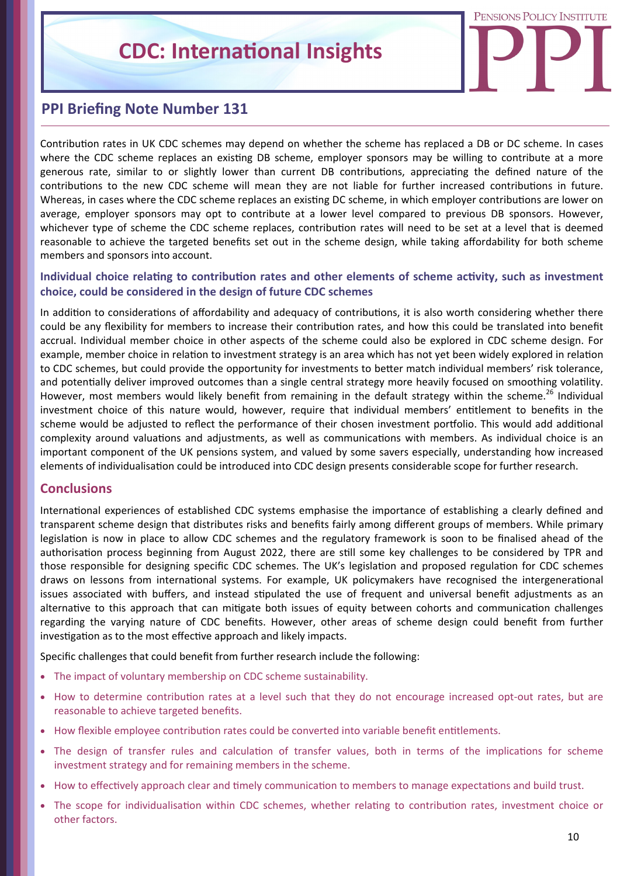

## **PPI Briefing Note Number 131**

Contribution rates in UK CDC schemes may depend on whether the scheme has replaced a DB or DC scheme. In cases where the CDC scheme replaces an existing DB scheme, employer sponsors may be willing to contribute at a more generous rate, similar to or slightly lower than current DB contributions, appreciating the defined nature of the contributions to the new CDC scheme will mean they are not liable for further increased contributions in future. Whereas, in cases where the CDC scheme replaces an existing DC scheme, in which employer contributions are lower on average, employer sponsors may opt to contribute at a lower level compared to previous DB sponsors. However, whichever type of scheme the CDC scheme replaces, contribution rates will need to be set at a level that is deemed reasonable to achieve the targeted benefits set out in the scheme design, while taking affordability for both scheme members and sponsors into account.

## **Individual choice relating to contribution rates and other elements of scheme activity, such as investment choice, could be considered in the design of future CDC schemes**

In addition to considerations of affordability and adequacy of contributions, it is also worth considering whether there could be any flexibility for members to increase their contribution rates, and how this could be translated into benefit accrual. Individual member choice in other aspects of the scheme could also be explored in CDC scheme design. For example, member choice in relation to investment strategy is an area which has not yet been widely explored in relation to CDC schemes, but could provide the opportunity for investments to better match individual members' risk tolerance, and potentially deliver improved outcomes than a single central strategy more heavily focused on smoothing volatility. However, most members would likely benefit from remaining in the default strategy within the scheme.<sup>26</sup> Individual investment choice of this nature would, however, require that individual members' entitlement to benefits in the scheme would be adjusted to reflect the performance of their chosen investment portfolio. This would add additional complexity around valuations and adjustments, as well as communications with members. As individual choice is an important component of the UK pensions system, and valued by some savers especially, understanding how increased elements of individualisation could be introduced into CDC design presents considerable scope for further research.

## **Conclusions**

International experiences of established CDC systems emphasise the importance of establishing a clearly defined and transparent scheme design that distributes risks and benefits fairly among different groups of members. While primary legislation is now in place to allow CDC schemes and the regulatory framework is soon to be finalised ahead of the authorisation process beginning from August 2022, there are still some key challenges to be considered by TPR and those responsible for designing specific CDC schemes. The UK's legislation and proposed regulation for CDC schemes draws on lessons from international systems. For example, UK policymakers have recognised the intergenerational issues associated with buffers, and instead stipulated the use of frequent and universal benefit adjustments as an alternative to this approach that can mitigate both issues of equity between cohorts and communication challenges regarding the varying nature of CDC benefits. However, other areas of scheme design could benefit from further investigation as to the most effective approach and likely impacts.

Specific challenges that could benefit from further research include the following:

- The impact of voluntary membership on CDC scheme sustainability.
- How to determine contribution rates at a level such that they do not encourage increased opt-out rates, but are reasonable to achieve targeted benefits.
- How flexible employee contribution rates could be converted into variable benefit entitlements.
- The design of transfer rules and calculation of transfer values, both in terms of the implications for scheme investment strategy and for remaining members in the scheme.
- How to effectively approach clear and timely communication to members to manage expectations and build trust.
- The scope for individualisation within CDC schemes, whether relating to contribution rates, investment choice or other factors.